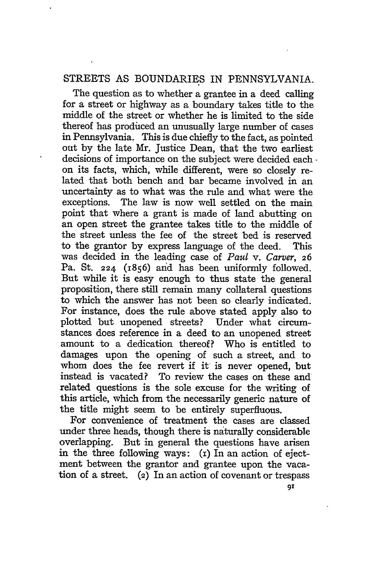The question as to whether a grantee in a deed calling for a street or highway as a boundary takes title to the middle of the street or whether he is limited to the side thereof has prodiced an unusually large number of cases in Pennsylvania. This is due chiefly to the fact, as pointed out by the late Mr. Justice Dean, that the two earliest decisions of importance on the subject were decided each  $\cdot$ on its facts, which, while different, were so closely related that both bench and bar became involved in an uncertainty as to what was the rule and what were the exceptions. The law is now well settled on the main point that where a grant is made of land abutting on an open street the grantee takes title to the middle of the street unless the fee of the street bed is reserved to the grantor **by** express language of the deed. This was decided in the leading case of *Paul v. Carver,* **<sup>26</sup>** Pa. St. 224 (1856) and has been uniformly followed. But while it is easy enough to thus state the general proposition, there still remain many collateral questions to which the answer has not been so clearly indicated. For instance, does the rule above stated apply also to plotted but unopened streets? Under what circumstances does reference in a deed to an unopened street amount to a dedication thereof? Who is entitled to damages upon the opening of such a street, and to whom does the fee revert if it is never opened, but instead is vacated? To review the cases on these and related questions is the sole excuse for the writing of this article, which from the necessarily generic nature of the title might seem to be entirely superfluous.

For convenience of treatment the cases are classed under three heads, though there is naturally considerable overlapping. But in general the questions have arisen in the three following ways: **(i)** In an action of ejectment between the grantor and grantee upon the vacation of a street. (2) In an action of covenant or trespass

**91**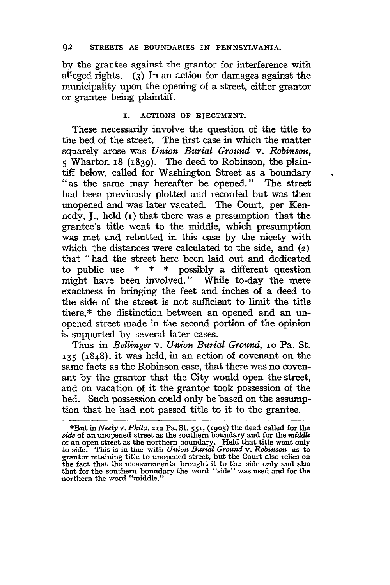by the grantee against the grantor for interference with alleged rights. **(3)** In an action for damages against the municipality upon the opening of a street, either grantor or grantee being plaintiff.

## **I.** ACTIONS **OF EJECTMENT.**

These necessarily involve the question of the title to the bed of the street. The first case in which the matter squarely arose was *Union Burial Ground v. Robinson,* 5 Wharton 18 (1839). The deed to Robinson, the plain-<br>tiff below, called for Washington Street as a boundary "as the same may hereafter be opened." The street had been previously plotted and recorded but was then unopened and was later vacated. The Court, per Kennedy, J., held **(I)** that there was a presumption that the grantee's title went to the middle, which presumption was met and rebutted in this case by the nicety with which the distances were calculated to the side, and **(2)** that "had the street here been laid out and dedicated to public use **\* \* \*** possibly a different question might have been involved." While to-day the mere exactness in bringing the feet and inches of a deed to the side of the street is not sufficient to limit the title there,\* the distinction between an opened and an unopened street made in the second portion of the opinion is supported by several later cases.

Thus in *Bellinger* v. *Union Burial Ground, io* Pa. St. **135** (1848), it was held, in an action of covenant on the same facts as the Robinson case, that there was no covenant by the grantor that the City would open the street, and on vacation of it the grantor took possession of the bed. Such possession could only be based on the assumption that he had not passed title to it to the grantee.

<sup>\*</sup>But **in** *Neely v. Phila.* **212** Pa. St. 551, (r9o5) the deed called for the side of an unopened street as the southern boundary and for the *middle* of an open street as the northern boundary. Held that title went only to side. This is in line with *Union Burial Ground* v. Robinson as to grantor retaining title to unopened street, but the Court also relies on the fact that the measurements brought it to the side only and also that for the southern boundary the word "side" was used and for the northern the word "middle."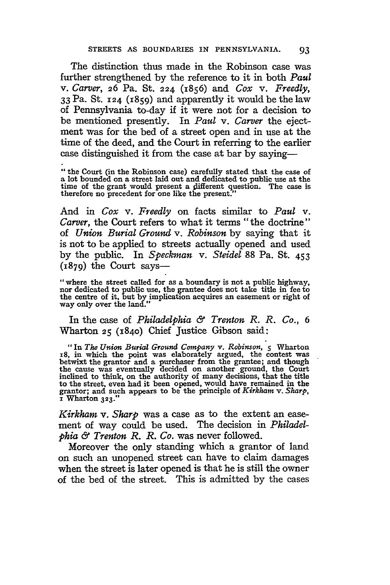The distinction thus made in the Robinson case was further strengthened by the reference to it in both Paul *v. Carver, 26* Pa. St. **224** (1856) and *Cox v. Freedly,* 33 Pa. St. 124 (1859) and apparently it would be the law of Pennsylvania to-day if it were not for a decision to be mentioned presently. In *Paul v. Carver* the ejectment was for the bed of a street open and in use at the time of the deed, and the Court in referring to the earlier case distinguished it from the case at bar **by** saying-

" the Court (in the Robinson case) carefully stated that the case of time of the grant would present a different question. The case is therefore no precedent for one like the present."

And in *Cox v. Freedly* on facts similar to *Paul* v. *Carver,* the Court refers to what it terms "the doctrine" of *Union Burial Ground v. Robinson* by saying that it is not to be applied to streets actually opened and used by the public. In *Speckman v. Steidel* 88 Pa. St. 453 (1879) the Court says-

"where the street called for as a boundary is not a public highway, nor dedicated to public use, the grantee does not take title in fee to the centre of it, but by implication acquires an easement or right of way only over

In the case of *Philadelphia & Trenton R. R. Co., 6* Wharton **25 (1840)** Chief Justice Gibson said:

**"In** *The Union* Burial Ground *Company v. Robinson, s* Wharton **x8,** in which the point was elaborately argued, the contest was betwixt the grantor and a purchaser from the grantee; and though the cause was eventually decided on another ground, the Court inclined to think, on the authority of many decisions, that the title to the street, even had it been opened, would have remained in the grantor; and such appears to be the principle of *Kirkham v. Sharp*, x Wharton 323."

*Kirkham v. Sharp* was a case as to the extent an easement of way could be used. The decision in *Philadelphia & Trenton R. R. Co.* was never followed.

Moreover the only standing which a grantor of land on such an unopened street can have to claim damages when the street is later opened is that he is still the owner of the bed of the street. This is admitted **by** the cases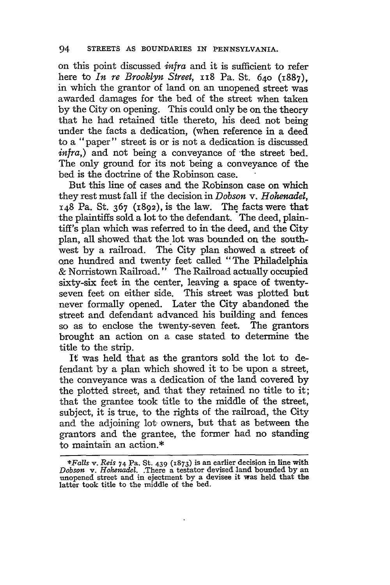on this point discussed infra and it is sufficient to refer here to *In re Brooklyn Street,* 118 Pa. St. 64o (1887), in which the grantor of land on an unopened street was awarded damages for the bed of the street when taken **by** the City on opening. This could only be on the theory that he had retained title thereto, his deed not being under the facts a dedication, (when reference in a deed to a "paper" street is or is not a dedication is discussed *infra,)* and not being a conveyance of the street bed. The only ground for its not being a conveyance of the bed is the doctrine of the Robinson case.

But this line of cases and the Robinson case on which they rest must fall if the decision in *Dobson v. Hohenadel,*  $148$  Pa. St.  $367$  (1892), is the law. The facts were that the plaintiffs sold a lot to the defendant. The deed, plaintiff's plan which was referred to in the deed, and the City plan, all showed that the lot was bounded on the southwest by a railroad. The City plan showed a street of one hundred and twenty feet called "The Philadelphia & Norristown Railroad." The Railroad actually occupied sixty-six feet in the center, leaving a space of twentyseven feet on either side. This street was plotted but never formally opened. Later the City abandoned the street and defendant advanced his building and fences so as to enclose the twenty-seven feet. The grantors brought an action on a case stated to determine the title to the strip.

It was held that as the grantors sold the lot to defendant by a plan which showed it to be upon a street, the conveyance was a dedication of the land covered **by** the plotted street, and that they retained no title to it; that the grantee took title to the middle of the street, subject, it is true, to the rights of the railroad, the City and the adjoining lot- owners, but that as between the grantors and the grantee, the former had no standing to maintain an action.\*

*<sup>\*</sup>Falls v. Reis* 74 Pa. St. 439 (1873) is an earlier decision in line with *Dobson v. Hohenadel.* .There a testator devised land bounded **by** an unopened street and in ejectment **by** a devisee it was held that the latter took title to the middle of the bed.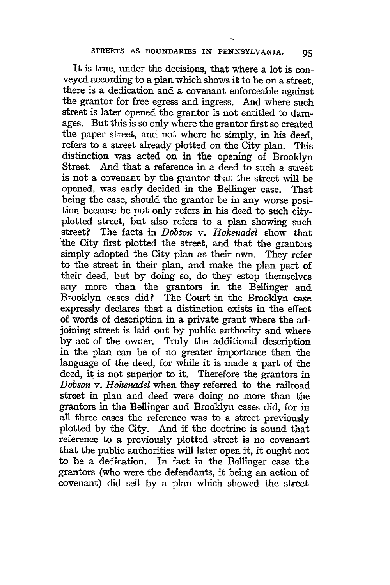It is true, under the decisions, that where a lot is conveyed according to a plan which shows it to be on a street, there is a dedication and a covenant enforceable against the grantor for free egress and ingress. And where such street is later opened the grantor is not entitled to damages. But this is so only where the grantor first so created the paper street, and not where he simply, in his deed, refers to a street already plotted on the City plan. This distinction was acted on in the opening of Brooklyn Street. And that a reference in a deed to such a street is not a covenant by the grantor that the street will be opened, was early decided in the Bellinger case. That being the case, should the grantor be in any worse position because he not only refers in his deed to such cityplotted street, but also refers to a plan showing such street? The facts in *Dobson v. Hohenadel* show that the City first plotted the street, and that the grantors simply adopted the City plan as their own. They refer to the street in their plan, and make the plan part of their deed, but by doing so, do they estop themselves any more than the grantors in the Bellinger and Brooklyn cases did? The Court in the Brooklyn case expressly declares that a distinction exists in the effect of words of description in a private grant where the adjoining street is laid out by public authority and where by act of the owner. Truly the additional description in the plan can be of no greater importance than the language of the deed, for while it is made a part of the deed, it is not superior to it. Therefore the grantors in *Dobson v. Hohenadel* when they referred to the railroad street in plan and deed were doing no more than the grantors in the Bellinger and Brooklyn cases did, for in all three cases the reference was to a street previously plotted by the City. And if the doctrine is sound that reference to a previously plotted street is no covenant that the public authorities will later open it, it ought not to be a dedication. In fact in the Bellinger case the grantors (who were the defendants, it being an action of covenant) did sell by a plan which showed the street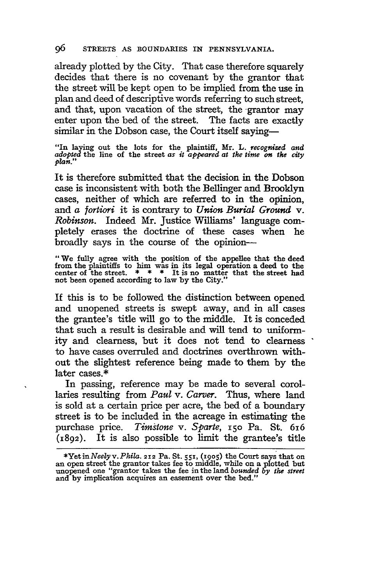already plotted by the City. That case therefore squarely decides that there is no covenant by the grantor that the street will be kept open to be implied from the use in plan and deed of descriptive words referring to such street, and that, upon vacation of the street, the grantor may enter upon the bed of the street. The facts are exactly similar in the Dobson case, the Court itself saying-

**"In** laying out the lots for the plaintiff, Mr. **L.** *recognized and adopted* the line of the street *as it appeared at the time on the city plan."*

It is therefore submitted that the decision in the Dobson case is inconsistent with both the Bellinger and Brooklyn cases, neither of which are referred to in the opinion, and a *fortiori* it is contrary to *Union Burial Ground v. Robinson.* Indeed Mr. Justice Williams' language completely erases the doctrine of these cases when he broadly says in the course of the opinion-

"We fully agree with the position of the appellee that the deed from the plaintiffs to him was in its legal operation a deed to the center of the street.  $* * * It$  is no matter that the street had not been opened according t

If this is to be followed the distinction between opened and unopened streets is swept away, and in all cases the grantee's title will go to the middle. It is conceded that such a result is desirable and will tend to uniformity and clearness, but it does not tend to clearness to have cases overruled and doctrines overthrown without the slightest reference being made to them by the later cases.\*

In passing, reference may be made to several corollaries resulting from *Paul v. Carver.* Thus, where land is sold at a certain price per acre, the bed of a boundary street is to be included in the acreage in estimating the purchase price. *Timstone v. Sparte,* **150** Pa. St. 616 (1892). It is also possible to limit the grantee's title

 $\ddot{\phantom{0}}$ 

*<sup>\*</sup>YetinNeelyv.Phila.* **212 Pa.** St. 55', **(19o5)** the Court says that on **an** open **street the** grantor takes **fee** to middle, while **on a** plotted but unopened one "grantor takes the fee in the land *bounded by the street* and by implication acquires an easement over the bed."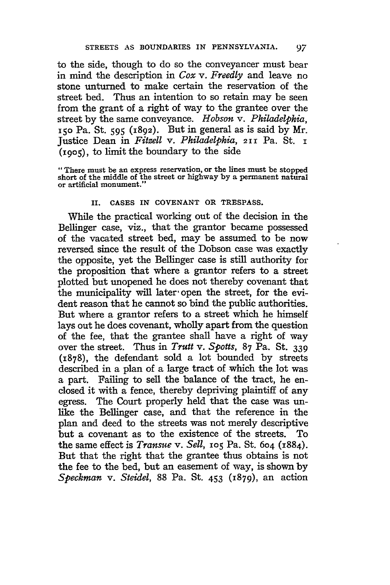to the side, though to do so the conveyancer must bear in mind the description in *Cox v. Freedly* and leave no stone unturned to make certain the reservation of the street bed. Thus an intention to so retain may be seen from the grant of a right of way to the grantee over the street **by** the same conveyance. *Hobson v. Philadelphia,* **150** Pa. St. **595** (1892). But in general as is said **by** Mr. Justice Dean in *Fitzell v. Philadelphia,* **211** Pa. St. **i (1905),** to limit the boundary to the side

"There must be an express reservation, **or** the lines must be **stopped short** of the middle of **the** street **or** highway **by** a permanent natural or artificial monument."

### **II. CASES** IN **COVENANT** OR **TRESPASS.**

While the practical working out of the decision in the Bellinger case, viz., that the grantor became possessed of the vacated street bed, may be assumed to be now reversed since the result of the Dobson case was exactly the opposite, yet the Bellinger case is still authority for the proposition that where a grantor refers to a street plotted but unopened he does not thereby covenant that the municipality will later'open the street, for the evident reason that he cannot so bind the public authorities. But where a grantor refers to a street which he himself lays out he does covenant, wholly apart from the question of the fee, that the grantee shall have a right of way over the street. Thus in *Trutt v. Spotts,* 87 Pa. St. 339 (1878), the defendant sold a lot bounded **by** streets described in a plan of a large tract of which the lot was a part. Failing to sell the balance of the tract, he enclosed it with a fence, thereby depriving plaintiff of any egress. The Court properly held that the case was unlike the Bellinger case, and that the reference in the plan and deed to the streets was not merely descriptive but a covenant as to the existence of the streets. To the same effect is *Transue v. Sell*, 105 Pa. St. 604 (1884). But that the right that the grantee thus obtains is not the fee to the bed, but an easement of way, is shown by *Speckman v. Steidel,* 88 Pa. St. 453 (1879), an action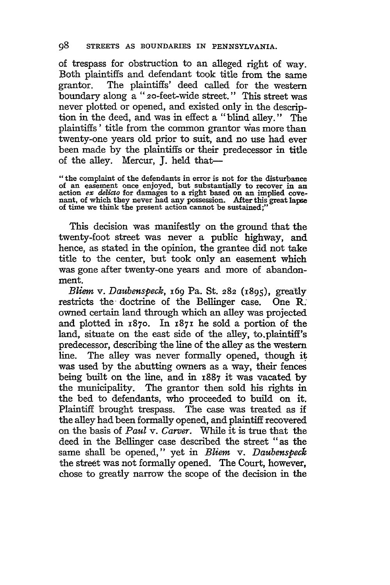of trespass for obstruction to an alleged right of way. Both plaintiffs and defendant took title from the same grantor. The plaintiffs' deed called for the western boundary along a " 20-feet-wide street." This street was never plotted or opened, and existed only in the description in the deed, and was in effect a "blind alley." The plaintiffs' title from the common grantor was more than twenty-one years old prior to suit, and no use had ever been made by the plaintiffs or their predecessor in title of the alley. Mercur, J. held that-

"the complaint of the defendants in error is not for the disturbance of an easement once enjoyed, but substantially to recover in an<br>action ex delicto for damages to a right based on an implied cove-<br>nant, of which they never had any possession. After this great lapse<br>of time we think the p

This decision was manifestly on the ground that the twenty-foot street was never a public highway, and hence, as stated in the opinion, the grantee did not take title to the center, but took only an easement which was gone after twenty-one years and more of abandonment.

*Bliem v. Daubenspeck,* 169 Pa. St. 282 (1895), greatly restricts the- doctrine of the Bellinger case. One R. owned certain land through which an alley was projected and plotted in **1870.** In 1871 he sold a portion of the land, situate on the east side of the alley, to.plaintiff's predecessor, describing the line of the alley as the western line. The alley was never formally opened, though it was used by the abutting owners as a way, their fences being built on the line, and in 1887 it was vacated by the municipality. The grantor then sold his rights in the bed to defendants, who proceeded to build on it. Plaintiff brought trespass. The case was treated as if the alley had been formally opened, and plaintiff recovered on the basis of *Paul v. Carver.* While it is true that the deed in the Bellinger case described the street "as the same shall be opened," yet in *Bliem v. Daubenspeck* the street was not formally opened. The Court, however, chose to greatly narrow the scope of the decision in the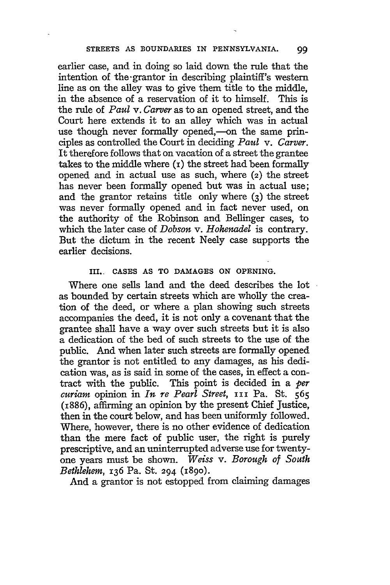earlier case, and in doing so laid down the rule that the intention of the-grantor in describing plaintiff's western line as on the alley was to give them title to the middle, in the absence of a reservation of it to himself. This is the rule of *Paul* v. *Carver* as to an opened street, and the Court here extends it to an alley which was in actual use though never formally opened,-on the same principles as controlled the Court in deciding *Paul v. Carver.* It therefore follows that on vacation of a street the grantee takes to the middle where  $(1)$  the street had been formally opened and in actual use as such, where (2) the street has never been formally opened but was in actual use; and the grantor retains title only where **(3)** the street was never formally opened and in fact never used, on the authority of the Robinson and Bellinger cases, to which the later ease of *Dobson v. Hohenadel* is contrary. But the dictum in the recent Neely case supports the earlier decisions.

#### **III., CASES AS** TO **DAMAGES ON** OPENING.

Where one sells land and the deed describes the lot as bounded **by** certain streets which are wholly the creation of the deed, or where a plan showing such streets accompanies the deed, it is not only a covenant that the grantee shall have a way over such streets but it is also a dedication of the bed of such streets to the use of the public. And when later such streets are formally opened the grantor is not entitled to any damages, as his dedication was, as is said in some of the cases, in effect a contract with the public. This point is decided in a *per curiam* opinion in *In re Pearl Street,* **III** Pa. St. 565 (1886), affirming an opinion by the present Chief Justice, then in the court below, and has been uniformly followed. Where, however, there is no other evidence of dedication than the mere fact of public user, the right is purely prescriptive, and an uninterrupted adverse use for twentyone years must be shown. *Weiss v. Borough of South Bethlehem,* 136 Pa. St. 294 (1890).

And a grantor is not estopped from claiming damages

99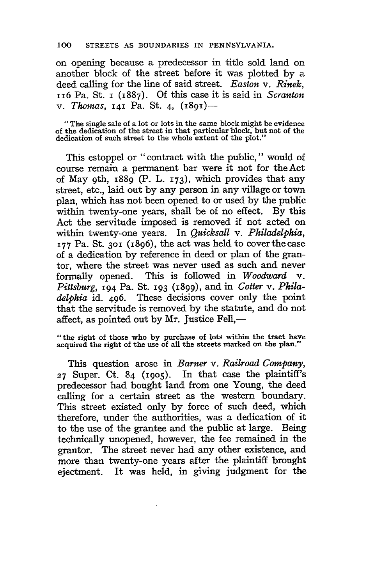on opening because a predecessor in title sold land on another block of the street before it was plotted by a deed calling for the line of said street. Easton *v. Rinek,* 116 Pa. St. **i** (1887). Of this case it is said in *Scranton v. Thomas,* **141** Pa. St. 4, (1891)-

"The single sale of a lot or lots in the same block might be evidence of the dedication of the street in that particular block, but not of the dedication of such street to the whole extent of the plot."

This estoppel or "contract with the public," would of course remain a permanent bar were it not for the Act of May 9 th, 1889 (P. L. **173),** which provides that any street, etc., laid out **by** any person in any village or town plan, which has not been opened to or used **by** the public within twenty-one years, shall be of no effect. **By** this Act the servitude imposed is removed if not acted on within twenty-one years. In *Quicksall v. Philadelphia,* 177 Pa. St. **301** (1896), the act was held to coverthecase of a dedication by reference in deed or plan of the grantor, where the street was never used as such and never formally opened. This is followed in *Woodward v. Pittsburg,* 194 Pa. St. **193** (1899), and in *Cotter v. Philadelphia* id. 496. These decisions cover only the point that the servitude is removed by the statute, and do not affect, as pointed out by Mr. Justice Fell,—

"the right of those who **by** purchase of lots within the tract have acquired the right of the use of all the streets marked on the plan."

This question arose in *Barner v. Railroad Company,* **27** Super. Ct. 84 **(1905).** In that case the plaintiff's predecessor had bought land from one Young, the deed calling for a certain street as the western boundary. This street existed only by force of such deed, which therefore, under the authorities, was a dedication of it to the use of the grantee and the public at large. Being technically unopened, however, the fee remained in the grantor. The street never had any other existence, and more than twenty-one years after the plaintiff brought ejectment. It was held, in giving judgment for the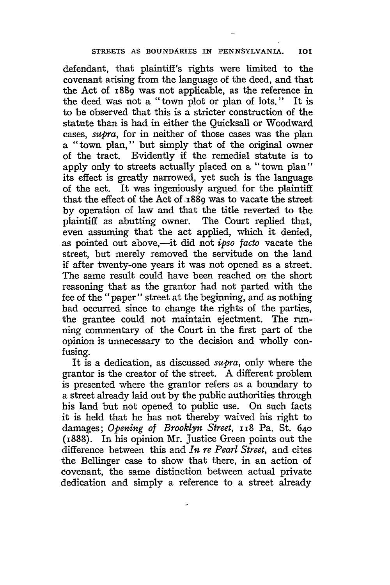defendant, that plaintiff's rights were limited to the covenant arising from the language of the deed, and that the Act of 1889 was not applicable, as the reference in the deed was not a "town plot or plan of lots." It is to be observed that this is a stricter construction of the statute than is had in either the Quicksall or Woodward cases, *supra,* for in neither of those cases was the plan a "town plan," but simply that of the original owner of the tract. Evidently if the remedial statute is to apply only to streets actually placed on a "town plan" its effect is greatly narrowed, yet such is the language of the act. It was ingeniously argued for the plaintiff that the effect of the Act of 1889 was to vacate the street by operation of law and that the title reverted to the plaintiff as abutting owner. The Court replied that, even assuming that the act applied, which it denied, as pointed out above,-it did not *ipso facto* vacate the street, but merely removed the servitude on the land if after twenty-one years it was not opened as a street. The same result could have been reached on the short reasoning that as the grantor had not parted with the fee of the "paper" street at the beginning, and as nothing had occurred since to change the rights of the parties, the grantee could not maintain ejectment. The running commentary of the Court in the first part of the opinion is unnecessary to the decision and wholly confusing.

It is a dedication, as discussed *supra,* only where the grantor is the creator of the street. A different problem is presented where the grantor refers as a boundary to a street already laid out by the public authorities through his land but not opened to public use. On such facts it is held that he has not thereby waived his right to damages; *Opening of Brooklyn Street,* **i18** Pa. St. 640 (i888). In his opinion Mr. Justice Green points out the difference between this and *In re Pearl Street,* and cites the Bellinger case to show that there, in an action of covenant, the same distinction between actual private dedication and simply a reference to a street already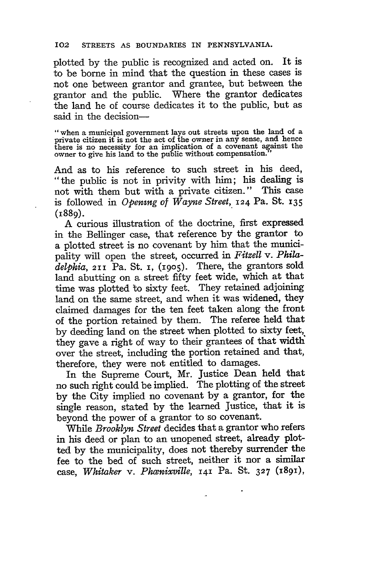plotted by the public is recognized and acted on. It is to be borne in mind that the question in these cases is not one between grantor and grantee, but between the grantor and the public. Where the grantor dedicates the land he of course dedicates it to the public, but as said in the decision-

"when a municipal government lays out streets upon the land of a private citizen it is not the act of the owner in any sense, and hence there is no necessity for an implication of a covenant against the owner to give his land to the public without compensation."

And as to his reference to such street in his deed, "the public is not in privity with him; his dealing is not with them but with a private citizen." This case is followed in *Opening of Wayne Street,* **124** Pa. St. **<sup>135</sup>**  $(188q)$ .

A curious illustration of the doctrine, first expressed in the Bellinger case, that reference by the grantor to a plotted street is no covenant by him that the municipality will open the street, occurred in *Fitzell v. Philadelphia,* **211** Pa. St. 1, **(1905).** There, the grantors sold land abutting on a street fifty feet wide, which at that time was plotted to sixty feet. They retained adjoining land on the same street, and when it was widened, they claimed damages for the ten feet taken along the front of the portion retained by them. The referee held that by deeding land on the street when plotted to sixty feet, they gave a right of way to their grantees of that width over the street, including the portion retained and that, therefore, they were not entitled to damages.

In the Supreme Court, Mr. Justice Dean held that no such right could be implied. The plotting of the street by the City implied no covenant by a grantor, for the single reason, stated by the learned Justice, that it is beyond the power of a grantor to so covenant.

While *Brooklyn Street* decides that a grantor who refers in his deed or plan to an unopened street, already plotted by the municipality, does not thereby surrender the fee to the bed of such street, neither it nor a similar case, *Whitaker v. Phownixville,* **14I** Pa. St. **327** (i891),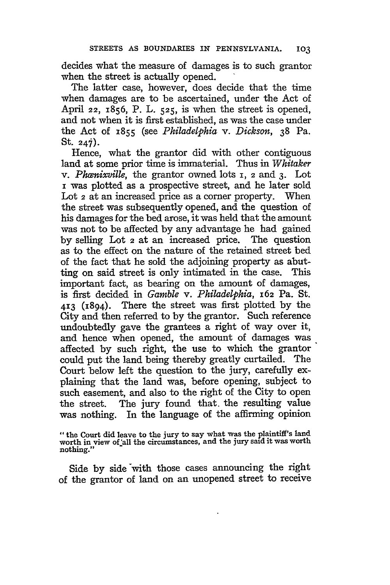decides what the measure of damages is to such grantor when the street is actually opened.

The latter case, however, does decide that the time when damages are to be ascertained, under the Act of April 22, 1856, P. L. **525,** is when the street is opened, and not when it is first established, as was the case under the Act of 1855 (see *Philadelphia v. Dickson,* 38 Pa. St. **24).**

Hence, what the grantor did with other contiguous land at some prior time is immaterial. Thus in *Whitaker v. Phanixville,* the grantor owned lots **i**, **2** and **3**. Lot **i** was plotted as a prospective street, and he later sold Lot 2 at an increased price as a corner property. When the street was subsequently opened, and the question of his damages for the bed arose, it was held that the amount was not to be affected by any advantage he had gained by selling Lot 2 at an increased price. The question as to the effect on the nature of the retained street bed of the fact that he sold the adjoining property as abutting on said street is only intimated in the case. This important fact, as bearing on the amount of damages, is first decided in *Gamble v. Philadelphia,* 162 Pa. St. **413** (1894). There the street was first plotted by the City and then referred to by the grantor. Such reference undoubtedly gave the grantees a right of way over it, and hence when opened, the amount of damages was affected by such right, the use to which the grantor could put the land being thereby greatly curtailed. The Court below left the question to the jury, carefully explaining that the land was, before opening, subject to such easement, and also to the right of the City to open the street. The jury found that. the resulting value was nothing. In the language of the affirming opinion

"the Court did leave to the jury to say what was the plaintiff's land worth in view of all the circumstances, and the jury said it was worth nothing."

Side by side with those cases announcing the right of the grantor of land on an unopened street to receive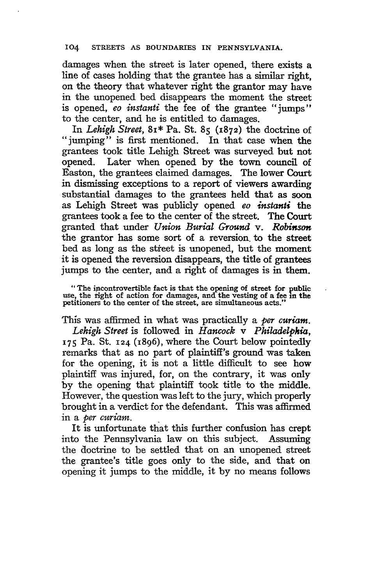damages when the street is later opened, there exists a line of cases holding that the grantee has a similar right, on the theory that whatever right the grantor may have in the unopened bed disappears the moment the street is opened, *eo instanti* the fee of the grantee "jumps" to the center, and he is entitled to damages.

In *Lehigh Street,* **81\*** Pa. St. **85** (1872) the doctrine of "jumping" is first mentioned. In that case when the grantees took title Lehigh Street was surveyed but not opened. Later when opened by the town council of Easton, the grantees claimed damages. The lower Court in dismissing exceptions to a report of viewers awarding substantial damages to the grantees held that as soon as Lehigh Street was publicly opened *eo instanti* the grantees took a fee to the center of the street. The Court granted that under *Union Burial Ground v. Robinson* the grantor has some sort of a reversion, to the street bed as long as the stfeet is unopened, but the moment it is opened the reversion disappears, the title of grantees jumps to the center, and a right of damages is in them.

"The incontrovertible fact is that the opening of street for public use, the right of action for damages, and the vesting of a fee in the petitioners to the center of the street, are simultaneous acts."

This was affirmed in what was practically a *per curiam. Lehigh Street* is followed in *Hancock v Phiadelpkia,* **175** Pa. St. **124** (1896), where the Court below pointedly remarks that as no part of plaintiff's ground was taken for the opening, it is not a little difficult to see how plaintiff was injured, for, on the contrary, it was only by the opening that plaintiff took title to the middle. However, the question was left to the jury, which properly brought in a verdict for the defendant. This was affirmed in a *per curiam.*

It is unfortunate that this further confusion has crept into the Pennsylvania law on this subject. Assuming the doctrine to be settled that on an unopened street the grantee's title goes only to the side, and that on opening it jumps to the middle, it by no means follows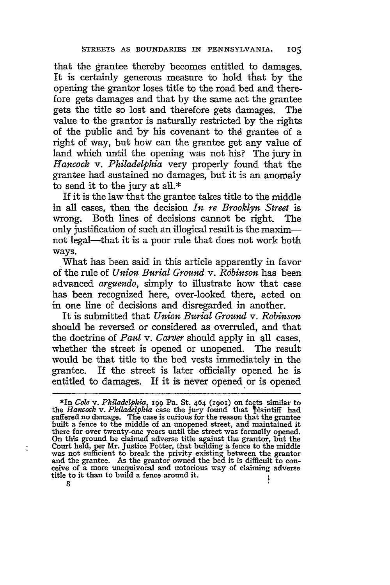that the grantee thereby becomes entitled to damages. It is certainly generous measure to hold that by the opening the grantor loses title to the road bed and therefore gets damages and that by the same act the grantee gets the title so lost and therefore gets damages. The value to the grantor is naturally restricted by the rights of the public and by his covenant to the grantee of a right of way, but how can the grantee get any value of land which until the opening was not his? The jury in *Hancock v. Philadelphia* very properly found that the grantee had sustained no damages, but it is an anomaly to send it to the jury at all.\*

If it is the law that the grantee takes title to the middle in all cases, then the decision *In re Brooklyn Street* is wrong. Both lines of decisions cannot be right. The only justification of such an illogical result is the maximnot legal-that it is a poor rule that does not work both ways.

What has been said in this article apparently in favor of the rule of *Union Burial Ground v. R6binson* has been advanced *arguendo,* simply to illustrate how that case has been recognized here, over-looked there, acted on in one line of decisions and disregarded in another.

It is submitted that *Union Burial Ground v. Robinson* should be reversed or considered as overruled, and that the doctrine of *Paul v. Carver* should apply in all cases, whether the street is opened or unopened. The result would be that title to the bed vests immediately in the grantee. If the street is later officially opened he is entitled to damages. If it is never opened or is opened

<sup>\*</sup>In *Cole v. Philadelphia,* **199** Pa. St. 464 **(r901) on** facts similar to the *Hancock* v. *Philadelphia* case the jury found that Aaintiff had suffered no damage. The case is curious for the reason that the grantee built a fence to the middle of an unopened street, and maintained it there for over twenty-one years until the street was formally opened.<br>On this ground he claimed adverse title against the grantor, but the<br>Court held, per Mr. Justice Potter, that building a fence to the middle<br>was not suf title to it than to build a fence around it.